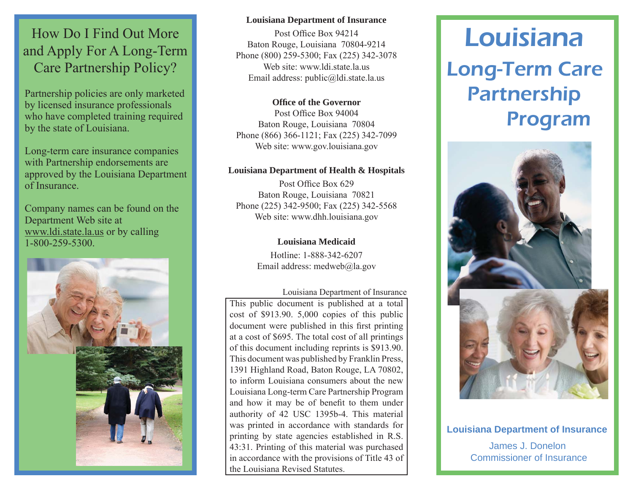# How Do I Find Out More and Apply For A Long-Term Care Partnership Policy?

Partnership policies are only marketed by licensed insurance professionals who have completed training required by the state of Louisiana.

Long-term care insurance companies with Partnership endorsements are approved by the Louisiana Department of Insurance.

Company names can be found on the Department Web site at www.ldi.state.la.us or by calling 1-800-259-5300.



#### **Louisiana Department of Insurance**

Post Office Box 94214 Baton Rouge, Louisiana 70804-9214 Phone (800) 259-5300; Fax (225) 342-3078 Web site: www.ldi.state.la.usEmail address: public@ldi.state.la.us

**Offi ce of the Governor**Post Office Box 94004 Baton Rouge, Louisiana 70804 Phone (866) 366-1121; Fax (225) 342-7099 Web site: www.gov.louisiana.gov

#### **Louisiana Department of Health & Hospitals**

Post Office Box 629 Baton Rouge, Louisiana 70821 Phone (225) 342-9500; Fax (225) 342-5568 Web site: www.dhh.louisiana.gov

**Louisiana Medicaid**

Hotline: 1-888-342-6207Email address: medweb@la.gov

#### Louisiana Department of Insurance

This public document is published at a total cost of \$913.90. 5,000 copies of this public document were published in this first printing at a cost of \$695. The total cost of all printings of this document including reprints is \$913.90. This document was published by Franklin Press, 1391 Highland Road, Baton Rouge, LA 70802, to inform Louisiana consumers about the new Louisiana Long-term Care Partnership Program and how it may be of benefit to them under authority of 42 USC 1395b-4. This material was printed in accordance with standards for printing by state agencies established in R.S. 43:31. Printing of this material was purchased in accordance with the provisions of Title 43 of the Louisiana Revised Statutes.

# Long-Term Care Partnership Program Louisiana



James J. Donelon Commissioner of Insurance**Louisiana Department of Insurance**